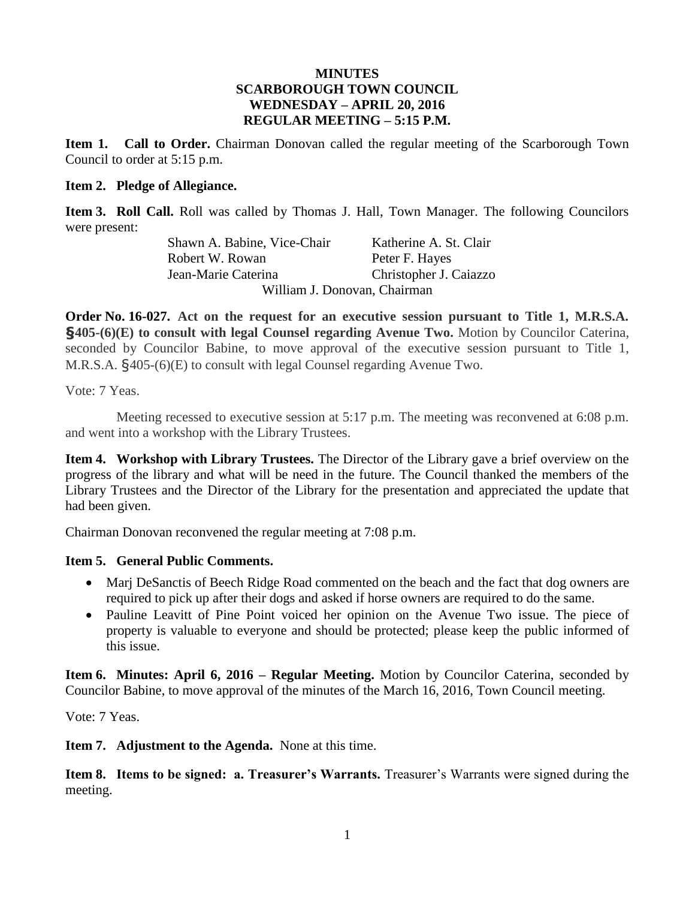#### **MINUTES SCARBOROUGH TOWN COUNCIL WEDNESDAY – APRIL 20, 2016 REGULAR MEETING – 5:15 P.M.**

**Item 1. Call to Order.** Chairman Donovan called the regular meeting of the Scarborough Town Council to order at 5:15 p.m.

#### **Item 2. Pledge of Allegiance.**

**Item 3. Roll Call.** Roll was called by Thomas J. Hall, Town Manager. The following Councilors were present:

> Shawn A. Babine, Vice-Chair Katherine A. St. Clair Robert W. Rowan Peter F. Hayes Jean-Marie Caterina Christopher J. Caiazzo William J. Donovan, Chairman

**Order No. 16-027. Act on the request for an executive session pursuant to Title 1, M.R.S.A. §405-(6)(E) to consult with legal Counsel regarding Avenue Two.** Motion by Councilor Caterina, seconded by Councilor Babine, to move approval of the executive session pursuant to Title 1, M.R.S.A. §405-(6)(E) to consult with legal Counsel regarding Avenue Two.

Vote: 7 Yeas.

Meeting recessed to executive session at 5:17 p.m. The meeting was reconvened at 6:08 p.m. and went into a workshop with the Library Trustees.

**Item 4. Workshop with Library Trustees.** The Director of the Library gave a brief overview on the progress of the library and what will be need in the future. The Council thanked the members of the Library Trustees and the Director of the Library for the presentation and appreciated the update that had been given.

Chairman Donovan reconvened the regular meeting at 7:08 p.m.

#### **Item 5. General Public Comments.**

- Marj DeSanctis of Beech Ridge Road commented on the beach and the fact that dog owners are required to pick up after their dogs and asked if horse owners are required to do the same.
- Pauline Leavitt of Pine Point voiced her opinion on the Avenue Two issue. The piece of property is valuable to everyone and should be protected; please keep the public informed of this issue.

**Item 6. Minutes: April 6, 2016 – Regular Meeting.** Motion by Councilor Caterina, seconded by Councilor Babine, to move approval of the minutes of the March 16, 2016, Town Council meeting.

Vote: 7 Yeas.

**Item 7. Adjustment to the Agenda.** None at this time.

**Item 8. Items to be signed: a. Treasurer's Warrants.** Treasurer's Warrants were signed during the meeting.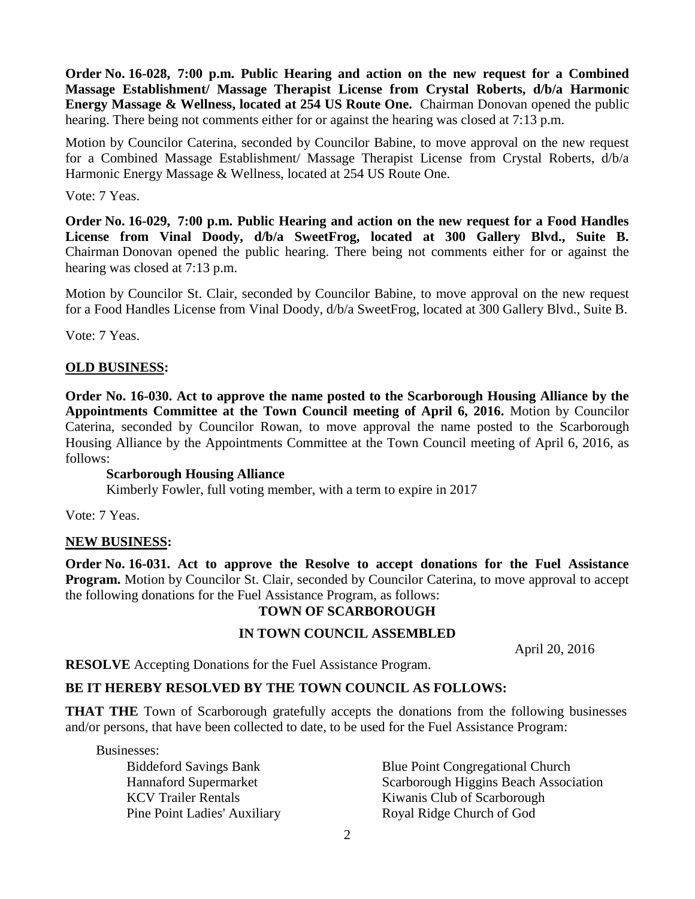**Order No. 16-028, 7:00 p.m. Public Hearing and action on the new request for a Combined Massage Establishment/ Massage Therapist License from Crystal Roberts, d/b/a Harmonic Energy Massage & Wellness, located at 254 US Route One.** Chairman Donovan opened the public hearing. There being not comments either for or against the hearing was closed at 7:13 p.m.

Motion by Councilor Caterina, seconded by Councilor Babine, to move approval on the new request for a Combined Massage Establishment/ Massage Therapist License from Crystal Roberts, d/b/a Harmonic Energy Massage & Wellness, located at 254 US Route One.

#### Vote: 7 Yeas.

**Order No. 16-029, 7:00 p.m. Public Hearing and action on the new request for a Food Handles License from Vinal Doody, d/b/a SweetFrog, located at 300 Gallery Blvd., Suite B.** Chairman Donovan opened the public hearing. There being not comments either for or against the hearing was closed at 7:13 p.m.

Motion by Councilor St. Clair, seconded by Councilor Babine, to move approval on the new request for a Food Handles License from Vinal Doody, d/b/a SweetFrog, located at 300 Gallery Blvd., Suite B.

Vote: 7 Yeas.

#### **OLD BUSINESS:**

**Order No. 16-030. Act to approve the name posted to the Scarborough Housing Alliance by the Appointments Committee at the Town Council meeting of April 6, 2016.** Motion by Councilor Caterina, seconded by Councilor Rowan, to move approval the name posted to the Scarborough Housing Alliance by the Appointments Committee at the Town Council meeting of April 6, 2016, as follows:

#### **Scarborough Housing Alliance**

Kimberly Fowler, full voting member, with a term to expire in 2017

Vote: 7 Yeas.

#### **NEW BUSINESS:**

**Order No. 16-031. Act to approve the Resolve to accept donations for the Fuel Assistance Program.** Motion by Councilor St. Clair, seconded by Councilor Caterina, to move approval to accept the following donations for the Fuel Assistance Program, as follows:

#### **TOWN OF SCARBOROUGH**

#### **IN TOWN COUNCIL ASSEMBLED**

April 20, 2016

**RESOLVE** Accepting Donations for the Fuel Assistance Program.

### **BE IT HEREBY RESOLVED BY THE TOWN COUNCIL AS FOLLOWS:**

**THAT THE** Town of Scarborough gratefully accepts the donations from the following businesses and/or persons, that have been collected to date, to be used for the Fuel Assistance Program:

Businesses:

Pine Point Ladies' Auxiliary Royal Ridge Church of God

Biddeford Savings Bank Blue Point Congregational Church Hannaford Supermarket Scarborough Higgins Beach Association KCV Trailer Rentals Kiwanis Club of Scarborough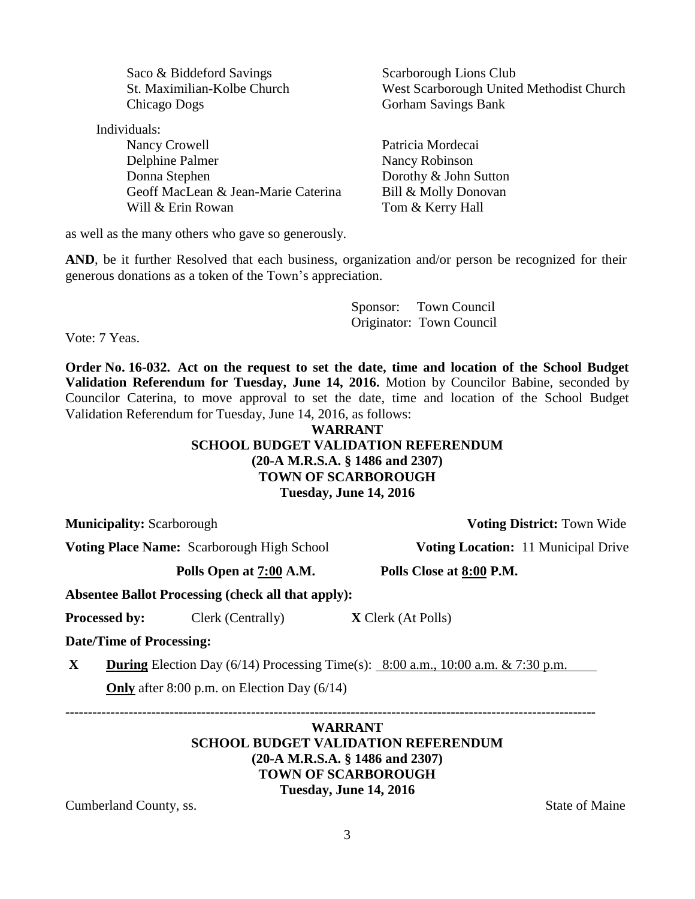| Saco & Biddeford Savings            | Scarborough Lions Club                   |
|-------------------------------------|------------------------------------------|
| St. Maximilian-Kolbe Church         | West Scarborough United Methodist Church |
| Chicago Dogs                        | <b>Gorham Savings Bank</b>               |
| Individuals:                        |                                          |
| Nancy Crowell                       | Patricia Mordecai                        |
| Delphine Palmer                     | Nancy Robinson                           |
| Donna Stephen                       | Dorothy & John Sutton                    |
| Geoff MacLean & Jean-Marie Caterina | Bill & Molly Donovan                     |
| Will & Erin Rowan                   | Tom & Kerry Hall                         |
|                                     |                                          |

as well as the many others who gave so generously.

AND, be it further Resolved that each business, organization and/or person be recognized for their generous donations as a token of the Town's appreciation.

> Sponsor: Town Council Originator: Town Council

Vote: 7 Yeas.

**Order No. 16-032. Act on the request to set the date, time and location of the School Budget Validation Referendum for Tuesday, June 14, 2016.** Motion by Councilor Babine, seconded by Councilor Caterina, to move approval to set the date, time and location of the School Budget Validation Referendum for Tuesday, June 14, 2016, as follows:

### **WARRANT SCHOOL BUDGET VALIDATION REFERENDUM (20-A M.R.S.A. § 1486 and 2307) TOWN OF SCARBOROUGH Tuesday, June 14, 2016**

**Municipality:** Scarborough **Voting District:** Town Wide

**Voting Place Name:** Scarborough High School **Voting Location:** 11 Municipal Drive

**Polls Open at 7:00 A.M. Polls Close at 8:00 P.M.**

**Absentee Ballot Processing (check all that apply):**

**Processed by:** Clerk (Centrally) **X** Clerk (At Polls)

**Date/Time of Processing:**

**X During** Election Day  $(6/14)$  Processing Time(s):  $8:00$  a.m.,  $10:00$  a.m. & 7:30 p.m.

**Only** after 8:00 p.m. on Election Day (6/14)

**WARRANT SCHOOL BUDGET VALIDATION REFERENDUM (20-A M.R.S.A. § 1486 and 2307) TOWN OF SCARBOROUGH Tuesday, June 14, 2016**

Cumberland County, ss. State of Maine

**---------------------------------------------------------------------------------------------------------------------**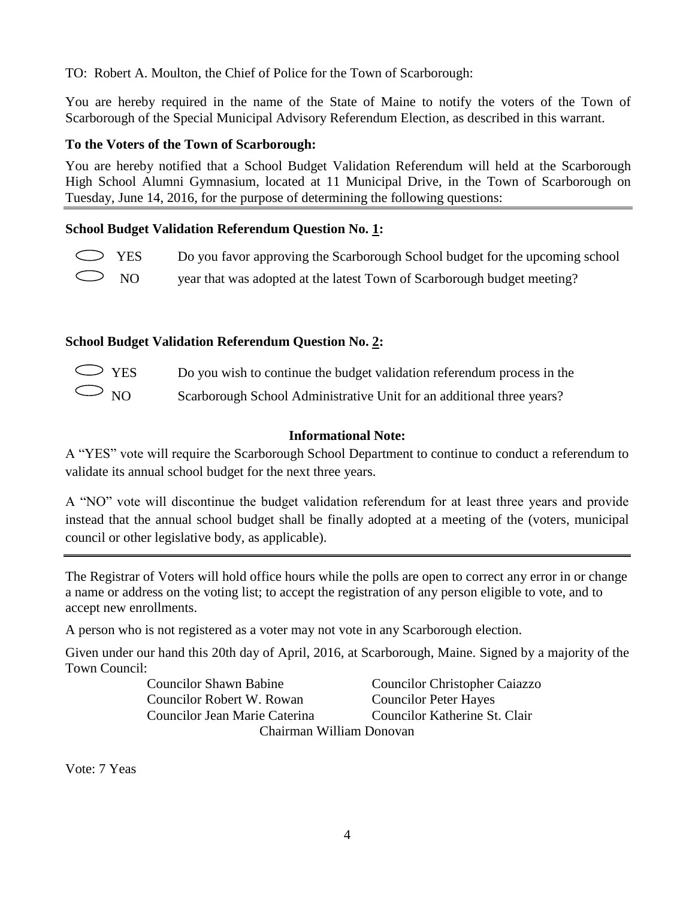TO: Robert A. Moulton, the Chief of Police for the Town of Scarborough:

You are hereby required in the name of the State of Maine to notify the voters of the Town of Scarborough of the Special Municipal Advisory Referendum Election, as described in this warrant.

## **To the Voters of the Town of Scarborough:**

You are hereby notified that a School Budget Validation Referendum will held at the Scarborough High School Alumni Gymnasium, located at 11 Municipal Drive, in the Town of Scarborough on Tuesday, June 14, 2016, for the purpose of determining the following questions:

# **School Budget Validation Referendum Question No. 1:**

- YES Do you favor approving the Scarborough School budget for the upcoming school
- NO year that was adopted at the latest Town of Scarborough budget meeting?

# **School Budget Validation Referendum Question No. 2:**

| $\bigcirc$ YES | Do you wish to continue the budget validation referendum process in the |
|----------------|-------------------------------------------------------------------------|
| $\bigcirc$ NO  | Scarborough School Administrative Unit for an additional three years?   |

## **Informational Note:**

A "YES" vote will require the Scarborough School Department to continue to conduct a referendum to validate its annual school budget for the next three years.

A "NO" vote will discontinue the budget validation referendum for at least three years and provide instead that the annual school budget shall be finally adopted at a meeting of the (voters, municipal council or other legislative body, as applicable).

The Registrar of Voters will hold office hours while the polls are open to correct any error in or change a name or address on the voting list; to accept the registration of any person eligible to vote, and to accept new enrollments.

A person who is not registered as a voter may not vote in any Scarborough election.

Given under our hand this 20th day of April, 2016, at Scarborough, Maine. Signed by a majority of the Town Council:

Councilor Robert W. Rowan Councilor Peter Hayes

Councilor Shawn Babine Councilor Christopher Caiazzo Councilor Jean Marie Caterina Councilor Katherine St. Clair Chairman William Donovan

Vote: 7 Yeas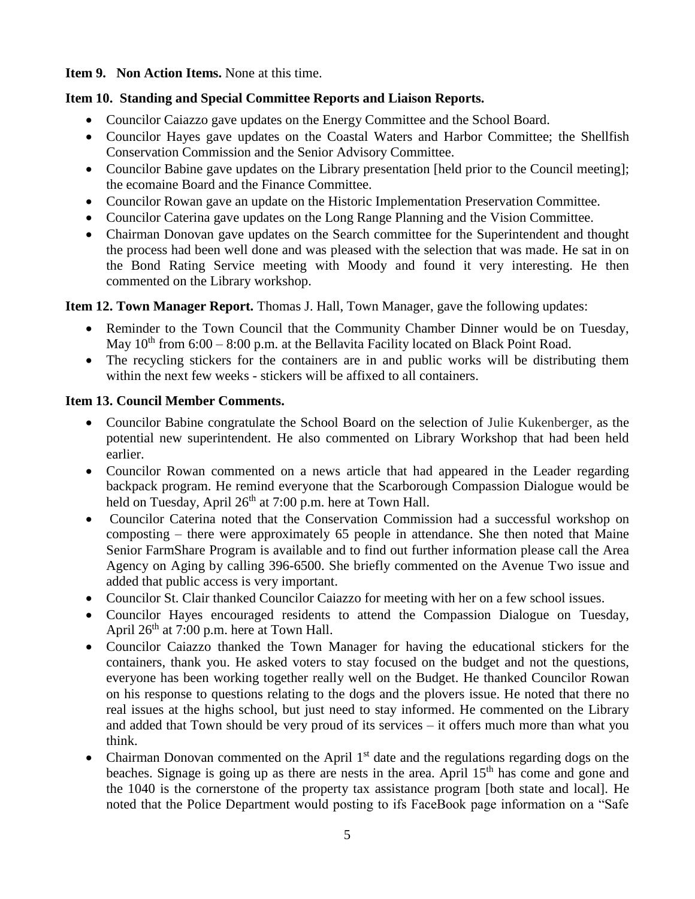**Item 9. Non Action Items.** None at this time.

## **Item 10. Standing and Special Committee Reports and Liaison Reports.**

- Councilor Caiazzo gave updates on the Energy Committee and the School Board.
- Councilor Hayes gave updates on the Coastal Waters and Harbor Committee; the Shellfish Conservation Commission and the Senior Advisory Committee.
- Councilor Babine gave updates on the Library presentation [held prior to the Council meeting]; the ecomaine Board and the Finance Committee.
- Councilor Rowan gave an update on the Historic Implementation Preservation Committee.
- Councilor Caterina gave updates on the Long Range Planning and the Vision Committee.
- Chairman Donovan gave updates on the Search committee for the Superintendent and thought the process had been well done and was pleased with the selection that was made. He sat in on the Bond Rating Service meeting with Moody and found it very interesting. He then commented on the Library workshop.

# **Item 12. Town Manager Report.** Thomas J. Hall, Town Manager, gave the following updates:

- Reminder to the Town Council that the Community Chamber Dinner would be on Tuesday, May  $10^{th}$  from 6:00 – 8:00 p.m. at the Bellavita Facility located on Black Point Road.
- The recycling stickers for the containers are in and public works will be distributing them within the next few weeks - stickers will be affixed to all containers.

# **Item 13. Council Member Comments.**

- Councilor Babine congratulate the School Board on the selection of Julie Kukenberger, as the potential new superintendent. He also commented on Library Workshop that had been held earlier.
- Councilor Rowan commented on a news article that had appeared in the Leader regarding backpack program. He remind everyone that the Scarborough Compassion Dialogue would be held on Tuesday, April  $26<sup>th</sup>$  at 7:00 p.m. here at Town Hall.
- Councilor Caterina noted that the Conservation Commission had a successful workshop on composting – there were approximately 65 people in attendance. She then noted that Maine Senior FarmShare Program is available and to find out further information please call the Area Agency on Aging by calling 396-6500. She briefly commented on the Avenue Two issue and added that public access is very important.
- Councilor St. Clair thanked Councilor Caiazzo for meeting with her on a few school issues.
- Councilor Hayes encouraged residents to attend the Compassion Dialogue on Tuesday, April  $26<sup>th</sup>$  at 7:00 p.m. here at Town Hall.
- Councilor Caiazzo thanked the Town Manager for having the educational stickers for the containers, thank you. He asked voters to stay focused on the budget and not the questions, everyone has been working together really well on the Budget. He thanked Councilor Rowan on his response to questions relating to the dogs and the plovers issue. He noted that there no real issues at the highs school, but just need to stay informed. He commented on the Library and added that Town should be very proud of its services – it offers much more than what you think.
- Chairman Donovan commented on the April  $1<sup>st</sup>$  date and the regulations regarding dogs on the beaches. Signage is going up as there are nests in the area. April 15<sup>th</sup> has come and gone and the 1040 is the cornerstone of the property tax assistance program [both state and local]. He noted that the Police Department would posting to ifs FaceBook page information on a "Safe